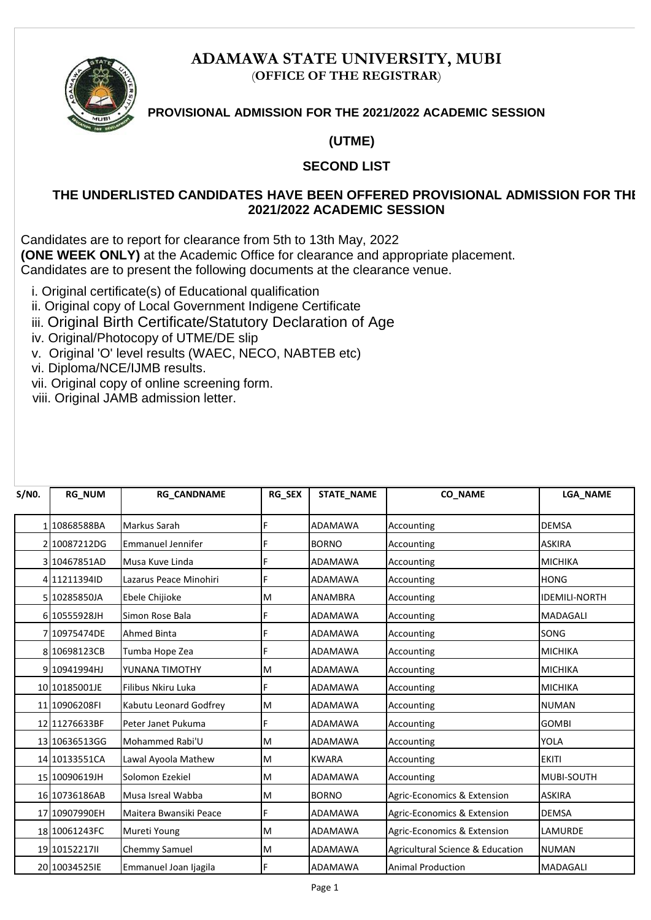

## **ADAMAWA STATE UNIVERSITY, MUBI** (**OFFICE OF THE REGISTRAR**)

## **PROVISIONAL ADMISSION FOR THE 2021/2022 ACADEMIC SESSION**

# **(UTME)**

## **SECOND LIST**

#### **THE UNDERLISTED CANDIDATES HAVE BEEN OFFERED PROVISIONAL ADMISSION FOR THE 2021/2022 ACADEMIC SESSION**

Candidates are to report for clearance from 5th to 13th May, 2022 **(ONE WEEK ONLY)** at the Academic Office for clearance and appropriate placement. Candidates are to present the following documents at the clearance venue.

i. Original certificate(s) of Educational qualification

- ii. Original copy of Local Government Indigene Certificate
- iii. Original Birth Certificate/Statutory Declaration of Age
- iv. Original/Photocopy of UTME/DE slip
- v. Original 'O' level results (WAEC, NECO, NABTEB etc)
- vi. Diploma/NCE/IJMB results.
- vii. Original copy of online screening form.
- viii. Original JAMB admission letter.

| S/NO. | RG_NUM         | <b>RG_CANDNAME</b>       | RG_SEX | <b>STATE_NAME</b> | <b>CO_NAME</b>                   | LGA_NAME             |
|-------|----------------|--------------------------|--------|-------------------|----------------------------------|----------------------|
|       | 110868588BA    | Markus Sarah             | F      | <b>ADAMAWA</b>    | Accounting                       | <b>DEMSA</b>         |
|       | 2 10087212DG   | <b>Emmanuel Jennifer</b> | F      | <b>BORNO</b>      | Accounting                       | <b>ASKIRA</b>        |
|       | 3 10467851AD   | Musa Kuve Linda          | F      | <b>ADAMAWA</b>    | Accounting                       | <b>MICHIKA</b>       |
|       | 4 11211394ID   | Lazarus Peace Minohiri   | F      | <b>ADAMAWA</b>    | Accounting                       | <b>HONG</b>          |
|       | 5 10285850JA   | Ebele Chijioke           | M      | <b>ANAMBRA</b>    | Accounting                       | <b>IDEMILI-NORTH</b> |
|       | 6 10555928JH   | Simon Rose Bala          | F      | <b>ADAMAWA</b>    | Accounting                       | <b>MADAGALI</b>      |
|       | 7 10975474DE   | Ahmed Binta              | F      | <b>ADAMAWA</b>    | Accounting                       | SONG                 |
|       | 8 10698123CB   | Tumba Hope Zea           | F      | <b>ADAMAWA</b>    | Accounting                       | <b>MICHIKA</b>       |
|       | 9 10941994HJ   | YUNANA TIMOTHY           | M      | <b>ADAMAWA</b>    | Accounting                       | <b>MICHIKA</b>       |
|       | 10 10185001JE  | Filibus Nkiru Luka       | F      | <b>ADAMAWA</b>    | Accounting                       | <b>MICHIKA</b>       |
|       | 11 10906208FI  | Kabutu Leonard Godfrey   | M      | <b>ADAMAWA</b>    | Accounting                       | <b>NUMAN</b>         |
|       | 12 11276633BF  | Peter Janet Pukuma       | F      | <b>ADAMAWA</b>    | Accounting                       | <b>GOMBI</b>         |
|       | 13 10636513GG  | Mohammed Rabi'U          | M      | <b>ADAMAWA</b>    | Accounting                       | <b>YOLA</b>          |
|       | 14 10133551CA  | Lawal Ayoola Mathew      | M      | <b>KWARA</b>      | Accounting                       | <b>EKITI</b>         |
|       | 15 10090619JH  | Solomon Ezekiel          | M      | <b>ADAMAWA</b>    | Accounting                       | <b>MUBI-SOUTH</b>    |
|       | 16 10736186AB  | Musa Isreal Wabba        | M      | <b>BORNO</b>      | Agric-Economics & Extension      | <b>ASKIRA</b>        |
|       | 17 10907990EH  | Maitera Bwansiki Peace   | F      | <b>ADAMAWA</b>    | Agric-Economics & Extension      | <b>DEMSA</b>         |
|       | 18 10061243FC  | Mureti Young             | M      | <b>ADAMAWA</b>    | Agric-Economics & Extension      | LAMURDE              |
|       | 19 10152217 II | Chemmy Samuel            | M      | <b>ADAMAWA</b>    | Agricultural Science & Education | <b>NUMAN</b>         |
|       | 20 10034525IE  | Emmanuel Joan Ijagila    | F      | <b>ADAMAWA</b>    | <b>Animal Production</b>         | <b>MADAGALI</b>      |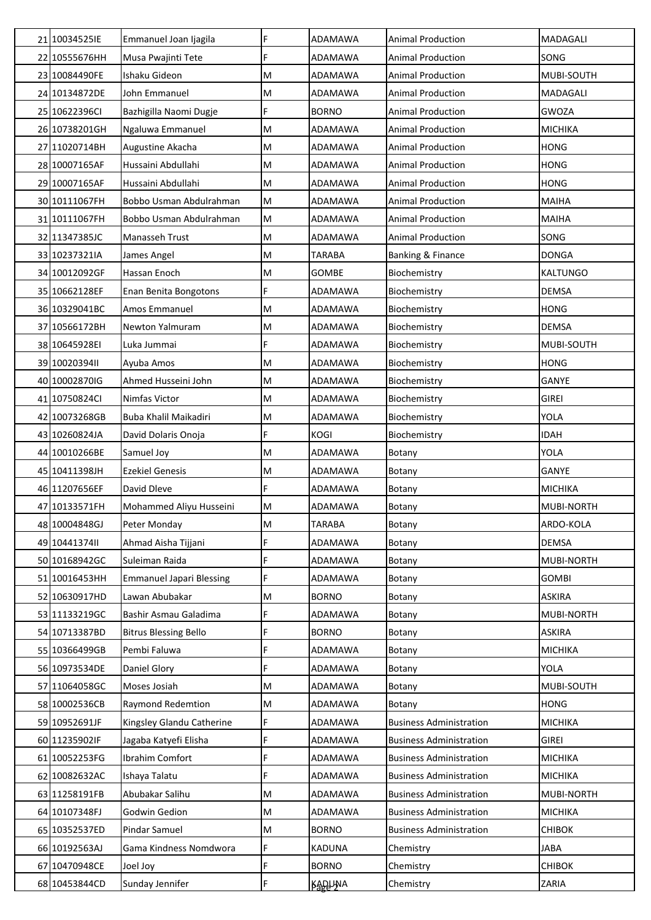| 21 10034525IE | Emmanuel Joan Ijagila           | F | <b>ADAMAWA</b> | <b>Animal Production</b>       | <b>MADAGALI</b>   |
|---------------|---------------------------------|---|----------------|--------------------------------|-------------------|
| 22 10555676HH | Musa Pwajinti Tete              | F | ADAMAWA        | <b>Animal Production</b>       | SONG              |
| 23 10084490FE | Ishaku Gideon                   | M | <b>ADAMAWA</b> | <b>Animal Production</b>       | MUBI-SOUTH        |
| 24 10134872DE | John Emmanuel                   | M | ADAMAWA        | <b>Animal Production</b>       | <b>MADAGALI</b>   |
| 25 10622396Cl | Bazhigilla Naomi Dugje          | F | <b>BORNO</b>   | <b>Animal Production</b>       | <b>GWOZA</b>      |
| 26 10738201GH | Ngaluwa Emmanuel                | M | <b>ADAMAWA</b> | <b>Animal Production</b>       | <b>MICHIKA</b>    |
| 27 11020714BH | Augustine Akacha                | M | <b>ADAMAWA</b> | <b>Animal Production</b>       | <b>HONG</b>       |
| 28 10007165AF | Hussaini Abdullahi              | M | <b>ADAMAWA</b> | <b>Animal Production</b>       | <b>HONG</b>       |
| 29 10007165AF | Hussaini Abdullahi              | M | <b>ADAMAWA</b> | <b>Animal Production</b>       | <b>HONG</b>       |
| 30 10111067FH | Bobbo Usman Abdulrahman         | M | ADAMAWA        | Animal Production              | <b>MAIHA</b>      |
| 31 10111067FH | Bobbo Usman Abdulrahman         | M | <b>ADAMAWA</b> | <b>Animal Production</b>       | <b>MAIHA</b>      |
| 32 11347385JC | Manasseh Trust                  | M | ADAMAWA        | <b>Animal Production</b>       | SONG              |
| 33 10237321IA | James Angel                     | M | <b>TARABA</b>  | Banking & Finance              | <b>DONGA</b>      |
| 34 10012092GF | Hassan Enoch                    | M | <b>GOMBE</b>   | Biochemistry                   | <b>KALTUNGO</b>   |
| 35 10662128EF | Enan Benita Bongotons           | F | ADAMAWA        | Biochemistry                   | <b>DEMSA</b>      |
| 36 10329041BC | Amos Emmanuel                   | M | <b>ADAMAWA</b> | Biochemistry                   | <b>HONG</b>       |
| 37 10566172BH | Newton Yalmuram                 | M | <b>ADAMAWA</b> | Biochemistry                   | <b>DEMSA</b>      |
| 38 10645928EI | Luka Jummai                     | F | ADAMAWA        | Biochemistry                   | <b>MUBI-SOUTH</b> |
| 39 1002039411 | Ayuba Amos                      | M | ADAMAWA        | Biochemistry                   | <b>HONG</b>       |
| 40 10002870IG | Ahmed Husseini John             | M | <b>ADAMAWA</b> | Biochemistry                   | <b>GANYE</b>      |
| 41 10750824Cl | Nimfas Victor                   | M | <b>ADAMAWA</b> | Biochemistry                   | <b>GIREI</b>      |
| 42 10073268GB | Buba Khalil Maikadiri           | M | ADAMAWA        | Biochemistry                   | <b>YOLA</b>       |
| 43 10260824JA | David Dolaris Onoja             | F | <b>KOGI</b>    | Biochemistry                   | <b>IDAH</b>       |
| 44 10010266BE | Samuel Joy                      | M | <b>ADAMAWA</b> | Botany                         | <b>YOLA</b>       |
| 45 10411398JH | <b>Ezekiel Genesis</b>          | M | <b>ADAMAWA</b> | Botany                         | <b>GANYE</b>      |
| 46 11207656EF | David Dleve                     | F | ADAMAWA        | Botany                         | <b>MICHIKA</b>    |
| 47 10133571FH | Mohammed Aliyu Husseini         | M | <b>ADAMAWA</b> | Botany                         | <b>MUBI-NORTH</b> |
| 48 10004848GJ | Peter Monday                    | M | <b>TARABA</b>  | Botany                         | ARDO-KOLA         |
| 49 1044137411 | Ahmad Aisha Tijjani             | F | ADAMAWA        | Botany                         | <b>DEMSA</b>      |
| 50 10168942GC | Suleiman Raida                  | F | ADAMAWA        | Botany                         | MUBI-NORTH        |
| 51 10016453HH | <b>Emmanuel Japari Blessing</b> | F | <b>ADAMAWA</b> | Botany                         | <b>GOMBI</b>      |
| 52 10630917HD | Lawan Abubakar                  | M | <b>BORNO</b>   | Botany                         | <b>ASKIRA</b>     |
| 53 11133219GC | Bashir Asmau Galadima           | F | ADAMAWA        | Botany                         | <b>MUBI-NORTH</b> |
| 54 10713387BD | <b>Bitrus Blessing Bello</b>    | F | <b>BORNO</b>   | Botany                         | <b>ASKIRA</b>     |
| 55 10366499GB | Pembi Faluwa                    | F | ADAMAWA        | Botany                         | <b>MICHIKA</b>    |
| 56 10973534DE | Daniel Glory                    | F | <b>ADAMAWA</b> | Botany                         | YOLA              |
| 57 11064058GC | Moses Josiah                    | M | ADAMAWA        | Botany                         | MUBI-SOUTH        |
| 58 10002536CB | Raymond Redemtion               | M | ADAMAWA        | Botany                         | <b>HONG</b>       |
| 59 10952691JF | Kingsley Glandu Catherine       | F | ADAMAWA        | <b>Business Administration</b> | <b>MICHIKA</b>    |
| 60 11235902IF | Jagaba Katyefi Elisha           | F | <b>ADAMAWA</b> | <b>Business Administration</b> | <b>GIREI</b>      |
| 61 10052253FG | Ibrahim Comfort                 | F | ADAMAWA        | <b>Business Administration</b> | <b>MICHIKA</b>    |
| 62 10082632AC | Ishaya Talatu                   | F | <b>ADAMAWA</b> | <b>Business Administration</b> | <b>MICHIKA</b>    |
| 63 11258191FB | Abubakar Salihu                 | M | ADAMAWA        | <b>Business Administration</b> | <b>MUBI-NORTH</b> |
| 64 10107348FJ | Godwin Gedion                   | M | <b>ADAMAWA</b> | <b>Business Administration</b> | <b>MICHIKA</b>    |
| 65 10352537ED | Pindar Samuel                   | M | <b>BORNO</b>   | <b>Business Administration</b> | CHIBOK            |
| 66 10192563AJ | Gama Kindness Nomdwora          | F | KADUNA         | Chemistry                      | JABA              |
| 67 10470948CE | Joel Joy                        | F | <b>BORNO</b>   | Chemistry                      | <b>CHIBOK</b>     |
| 68 10453844CD | Sunday Jennifer                 | F | <b>KADLUNA</b> | Chemistry                      | ZARIA             |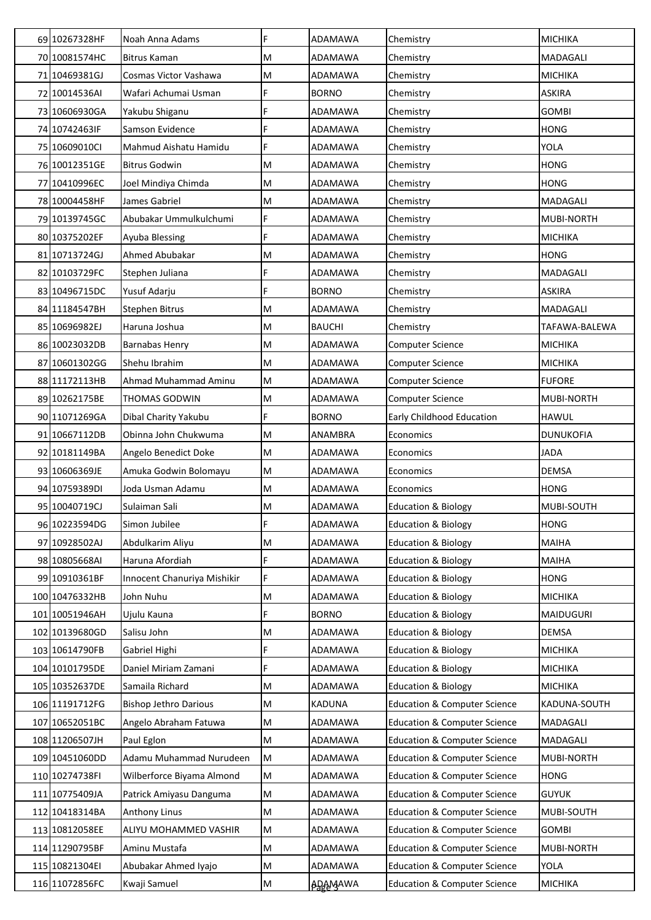| 69 10267328HF  | Noah Anna Adams              | F | ADAMAWA       | Chemistry                               | <b>MICHIKA</b>    |
|----------------|------------------------------|---|---------------|-----------------------------------------|-------------------|
| 70 10081574HC  | <b>Bitrus Kaman</b>          | M | ADAMAWA       | Chemistry                               | <b>MADAGALI</b>   |
| 71 10469381GJ  | Cosmas Victor Vashawa        | M | ADAMAWA       | Chemistry                               | <b>MICHIKA</b>    |
| 72 10014536AI  | Wafari Achumai Usman         | F | <b>BORNO</b>  | Chemistry                               | <b>ASKIRA</b>     |
| 73 10606930GA  | Yakubu Shiganu               | F | ADAMAWA       | Chemistry                               | <b>GOMBI</b>      |
| 74 10742463IF  | Samson Evidence              | F | ADAMAWA       | Chemistry                               | <b>HONG</b>       |
| 75 10609010Cl  | Mahmud Aishatu Hamidu        | F | ADAMAWA       | Chemistry                               | YOLA              |
| 76 10012351GE  | <b>Bitrus Godwin</b>         | M | ADAMAWA       | Chemistry                               | <b>HONG</b>       |
| 77 10410996EC  | Joel Mindiya Chimda          | M | ADAMAWA       | Chemistry                               | <b>HONG</b>       |
| 78 10004458HF  | James Gabriel                | M | ADAMAWA       | Chemistry                               | <b>MADAGALI</b>   |
| 79 10139745GC  | Abubakar Ummulkulchumi       | F | ADAMAWA       | Chemistry                               | <b>MUBI-NORTH</b> |
| 80 10375202EF  | Ayuba Blessing               | F | ADAMAWA       | Chemistry                               | <b>MICHIKA</b>    |
| 81 10713724GJ  | Ahmed Abubakar               | M | ADAMAWA       | Chemistry                               | <b>HONG</b>       |
| 82 10103729FC  | Stephen Juliana              | F | ADAMAWA       | Chemistry                               | <b>MADAGALI</b>   |
| 83 10496715DC  | Yusuf Adarju                 | F | <b>BORNO</b>  | Chemistry                               | <b>ASKIRA</b>     |
| 84 11184547BH  | Stephen Bitrus               | M | ADAMAWA       | Chemistry                               | <b>MADAGALI</b>   |
| 85 10696982EJ  | Haruna Joshua                | M | <b>BAUCHI</b> | Chemistry                               | TAFAWA-BALEWA     |
| 86 10023032DB  | Barnabas Henry               | M | ADAMAWA       | Computer Science                        | <b>MICHIKA</b>    |
| 87 10601302GG  | Shehu Ibrahim                | M | ADAMAWA       | <b>Computer Science</b>                 | <b>MICHIKA</b>    |
| 88 11172113HB  | Ahmad Muhammad Aminu         | M | ADAMAWA       | Computer Science                        | <b>FUFORE</b>     |
| 89 10262175BE  | THOMAS GODWIN                | M | ADAMAWA       | <b>Computer Science</b>                 | <b>MUBI-NORTH</b> |
| 90 11071269GA  | Dibal Charity Yakubu         | F | <b>BORNO</b>  | Early Childhood Education               | <b>HAWUL</b>      |
| 91 10667112DB  | Obinna John Chukwuma         | M | ANAMBRA       | Economics                               | <b>DUNUKOFIA</b>  |
| 92 10181149BA  | Angelo Benedict Doke         | M | ADAMAWA       | Economics                               | <b>JADA</b>       |
| 93 10606369JE  | Amuka Godwin Bolomayu        | M | ADAMAWA       | Economics                               | <b>DEMSA</b>      |
| 94 10759389DI  | Joda Usman Adamu             | M | ADAMAWA       | Economics                               | <b>HONG</b>       |
| 95 10040719CJ  | Sulaiman Sali                | M | ADAMAWA       | <b>Education &amp; Biology</b>          | MUBI-SOUTH        |
| 96 10223594DG  | Simon Jubilee                | F | ADAMAWA       | <b>Education &amp; Biology</b>          | <b>HONG</b>       |
| 97 10928502AJ  | Abdulkarim Aliyu             | M | ADAMAWA       | <b>Education &amp; Biology</b>          | <b>MAIHA</b>      |
| 98 10805668AI  | Haruna Afordiah              | F | ADAMAWA       | <b>Education &amp; Biology</b>          | <b>MAIHA</b>      |
| 99 10910361BF  | Innocent Chanuriya Mishikir  | F | ADAMAWA       | <b>Education &amp; Biology</b>          | <b>HONG</b>       |
| 100 10476332HB | John Nuhu                    | M | ADAMAWA       | <b>Education &amp; Biology</b>          | <b>MICHIKA</b>    |
| 101 10051946AH | Ujulu Kauna                  | F | <b>BORNO</b>  | <b>Education &amp; Biology</b>          | <b>MAIDUGURI</b>  |
| 102 10139680GD | Salisu John                  | M | ADAMAWA       | <b>Education &amp; Biology</b>          | <b>DEMSA</b>      |
| 103 10614790FB | Gabriel Highi                | F | ADAMAWA       | <b>Education &amp; Biology</b>          | <b>MICHIKA</b>    |
| 104 10101795DE | Daniel Miriam Zamani         | F | ADAMAWA       | <b>Education &amp; Biology</b>          | <b>MICHIKA</b>    |
| 105 10352637DE | Samaila Richard              | M | ADAMAWA       | <b>Education &amp; Biology</b>          | <b>MICHIKA</b>    |
| 106 11191712FG | <b>Bishop Jethro Darious</b> | M | <b>KADUNA</b> | <b>Education &amp; Computer Science</b> | KADUNA-SOUTH      |
| 107 10652051BC | Angelo Abraham Fatuwa        | M | ADAMAWA       | <b>Education &amp; Computer Science</b> | <b>MADAGALI</b>   |
| 108 11206507JH | Paul Eglon                   | M | ADAMAWA       | <b>Education &amp; Computer Science</b> | MADAGALI          |
| 109 10451060DD | Adamu Muhammad Nurudeen      | M | ADAMAWA       | <b>Education &amp; Computer Science</b> | MUBI-NORTH        |
| 110 10274738FI | Wilberforce Biyama Almond    | M | ADAMAWA       | <b>Education &amp; Computer Science</b> | <b>HONG</b>       |
| 111 10775409JA | Patrick Amiyasu Danguma      | M | ADAMAWA       | <b>Education &amp; Computer Science</b> | <b>GUYUK</b>      |
| 112 10418314BA | Anthony Linus                | M | ADAMAWA       | <b>Education &amp; Computer Science</b> | MUBI-SOUTH        |
| 113 10812058EE | ALIYU MOHAMMED VASHIR        | M | ADAMAWA       | <b>Education &amp; Computer Science</b> | <b>GOMBI</b>      |
| 114 11290795BF | Aminu Mustafa                | M | ADAMAWA       | <b>Education &amp; Computer Science</b> | MUBI-NORTH        |
| 115 10821304EI | Abubakar Ahmed Iyajo         | M | ADAMAWA       | <b>Education &amp; Computer Science</b> | <b>YOLA</b>       |
| 116 11072856FC | Kwaji Samuel                 | M | ARAMAWA       | <b>Education &amp; Computer Science</b> | <b>MICHIKA</b>    |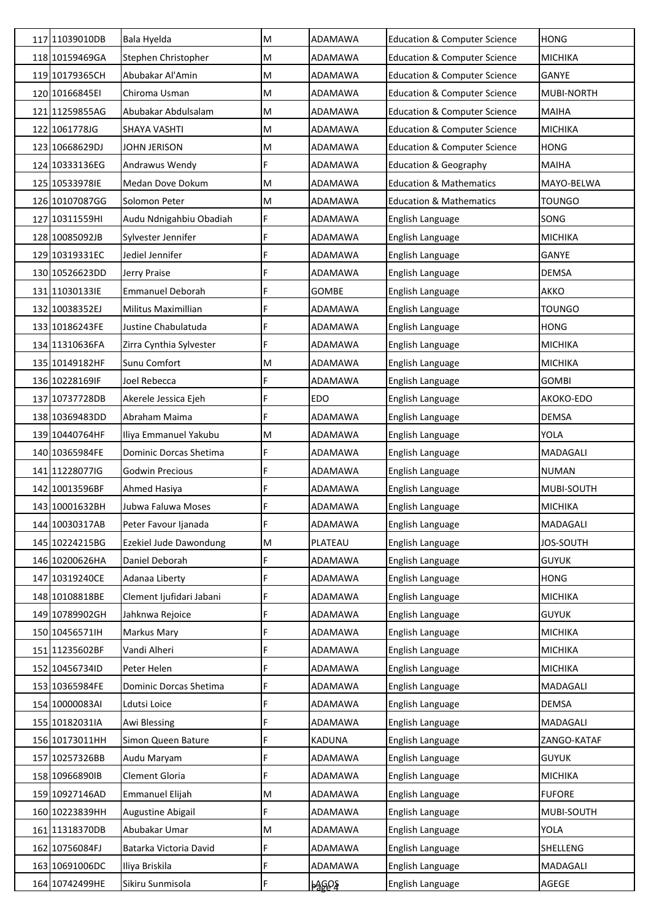| 117 11039010DB | Bala Hyelda              | M  | ADAMAWA        | <b>Education &amp; Computer Science</b> | <b>HONG</b>    |
|----------------|--------------------------|----|----------------|-----------------------------------------|----------------|
| 118 10159469GA | Stephen Christopher      | M  | ADAMAWA        | <b>Education &amp; Computer Science</b> | <b>MICHIKA</b> |
| 119 10179365CH | Abubakar Al'Amin         | M  | ADAMAWA        | <b>Education &amp; Computer Science</b> | <b>GANYE</b>   |
| 120 10166845EI | Chiroma Usman            | M  | ADAMAWA        | <b>Education &amp; Computer Science</b> | MUBI-NORTH     |
| 121 11259855AG | Abubakar Abdulsalam      | M  | ADAMAWA        | <b>Education &amp; Computer Science</b> | <b>MAIHA</b>   |
| 122 1061778JG  | SHAYA VASHTI             | M  | ADAMAWA        | <b>Education &amp; Computer Science</b> | <b>MICHIKA</b> |
| 123 10668629DJ | JOHN JERISON             | M  | ADAMAWA        | <b>Education &amp; Computer Science</b> | HONG           |
| 124 10333136EG | Andrawus Wendy           | F  | <b>ADAMAWA</b> | <b>Education &amp; Geography</b>        | <b>MAIHA</b>   |
| 125 10533978IE | Medan Dove Dokum         | M  | ADAMAWA        | <b>Education &amp; Mathematics</b>      | MAYO-BELWA     |
| 126 10107087GG | Solomon Peter            | M  | ADAMAWA        | <b>Education &amp; Mathematics</b>      | <b>TOUNGO</b>  |
| 127 10311559HI | Audu Ndnigahbiu Obadiah  | F  | ADAMAWA        | English Language                        | SONG           |
| 128 10085092JB | Sylvester Jennifer       | F  | ADAMAWA        | English Language                        | <b>MICHIKA</b> |
| 129 10319331EC | Jediel Jennifer          | F  | ADAMAWA        | English Language                        | <b>GANYE</b>   |
| 130 10526623DD | Jerry Praise             | F  | ADAMAWA        | English Language                        | <b>DEMSA</b>   |
| 131 11030133IE | <b>Emmanuel Deborah</b>  | F  | <b>GOMBE</b>   | English Language                        | AKKO           |
| 132 10038352EJ | Militus Maximillian      | F  | ADAMAWA        | English Language                        | <b>TOUNGO</b>  |
| 133 10186243FE | Justine Chabulatuda      | F  | ADAMAWA        | English Language                        | <b>HONG</b>    |
| 134 11310636FA | Zirra Cynthia Sylvester  | F  | <b>ADAMAWA</b> | English Language                        | <b>MICHIKA</b> |
| 135 10149182HF | Sunu Comfort             | M  | ADAMAWA        | English Language                        | <b>MICHIKA</b> |
| 136 10228169IF | Joel Rebecca             | F  | ADAMAWA        | English Language                        | <b>GOMBI</b>   |
| 137 10737728DB | Akerele Jessica Ejeh     | F  | <b>EDO</b>     | English Language                        | AKOKO-EDO      |
| 138 10369483DD | Abraham Maima            | F  | ADAMAWA        | English Language                        | <b>DEMSA</b>   |
| 139 10440764HF | Iliya Emmanuel Yakubu    | M  | ADAMAWA        | English Language                        | <b>YOLA</b>    |
| 140 10365984FE | Dominic Dorcas Shetima   | F  | ADAMAWA        | English Language                        | MADAGALI       |
| 141 11228077IG | <b>Godwin Precious</b>   | F  | ADAMAWA        | English Language                        | <b>NUMAN</b>   |
| 142 10013596BF | Ahmed Hasiya             | F  | <b>ADAMAWA</b> | English Language                        | MUBI-SOUTH     |
| 143 10001632BH | Jubwa Faluwa Moses       | F  | ADAMAWA        | English Language                        | <b>MICHIKA</b> |
| 144 10030317AB | Peter Favour Ijanada     | F  | ADAMAWA        | English Language                        | MADAGALI       |
| 145 10224215BG | Ezekiel Jude Dawondung   | M  | PLATEAU        | English Language                        | JOS-SOUTH      |
| 146 10200626HA | Daniel Deborah           | F  | ADAMAWA        | English Language                        | <b>GUYUK</b>   |
| 147 10319240CE | Adanaa Liberty           | F  | ADAMAWA        | English Language                        | <b>HONG</b>    |
| 148 10108818BE | Clement Ijufidari Jabani | F  | ADAMAWA        | English Language                        | <b>MICHIKA</b> |
| 149 10789902GH | Jahknwa Rejoice          | F  | ADAMAWA        | English Language                        | <b>GUYUK</b>   |
| 150 10456571IH | Markus Mary              | F  | ADAMAWA        | English Language                        | MICHIKA        |
| 151 11235602BF | Vandi Alheri             | F  | ADAMAWA        | English Language                        | MICHIKA        |
| 152 10456734ID | Peter Helen              | F  | ADAMAWA        | English Language                        | <b>MICHIKA</b> |
| 153 10365984FE | Dominic Dorcas Shetima   | F  | ADAMAWA        | English Language                        | MADAGALI       |
| 154 10000083AI | Ldutsi Loice             | F  | ADAMAWA        | English Language                        | DEMSA          |
| 155 10182031IA | Awi Blessing             | F  | ADAMAWA        | English Language                        | MADAGALI       |
| 156 10173011HH | Simon Queen Bature       | F  | KADUNA         | English Language                        | ZANGO-KATAF    |
| 157 10257326BB | Audu Maryam              | F  | ADAMAWA        | English Language                        | <b>GUYUK</b>   |
| 158 10966890IB | Clement Gloria           | F  | ADAMAWA        | English Language                        | MICHIKA        |
| 159 10927146AD | Emmanuel Elijah          | M  | ADAMAWA        | English Language                        | <b>FUFORE</b>  |
| 160 10223839HH | Augustine Abigail        | F. | ADAMAWA        | English Language                        | MUBI-SOUTH     |
| 161 11318370DB | Abubakar Umar            | M  | ADAMAWA        | English Language                        | YOLA           |
| 162 10756084FJ | Batarka Victoria David   | F  | ADAMAWA        | English Language                        | SHELLENG       |
| 163 10691006DC | Iliya Briskila           | F  | ADAMAWA        | English Language                        | MADAGALI       |
| 164 10742499HE | Sikiru Sunmisola         | F. | 29984          | English Language                        | AGEGE          |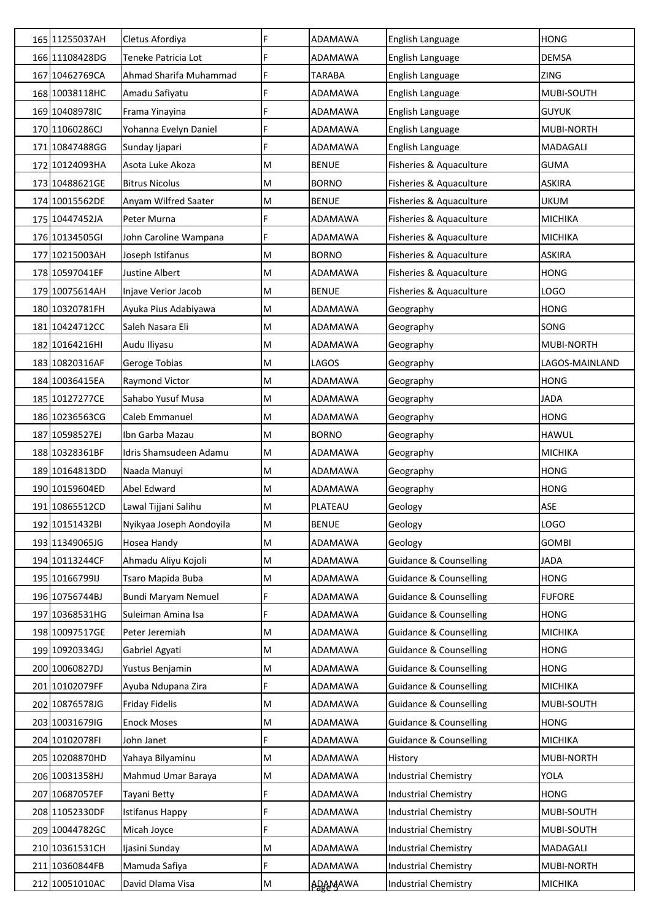| 165 11255037AH | Cletus Afordiya            | F | ADAMAWA        | English Language                  | <b>HONG</b>       |
|----------------|----------------------------|---|----------------|-----------------------------------|-------------------|
| 166 11108428DG | Teneke Patricia Lot        | F | <b>ADAMAWA</b> | English Language                  | <b>DEMSA</b>      |
| 167 10462769CA | Ahmad Sharifa Muhammad     | F | <b>TARABA</b>  | English Language                  | <b>ZING</b>       |
| 168 10038118HC | Amadu Safiyatu             | F | ADAMAWA        | English Language                  | MUBI-SOUTH        |
| 169 10408978IC | Frama Yinayina             | F | <b>ADAMAWA</b> | English Language                  | <b>GUYUK</b>      |
| 170 11060286CJ | Yohanna Evelyn Daniel      | F | ADAMAWA        | English Language                  | MUBI-NORTH        |
| 171 10847488GG | Sunday Ijapari             | F | <b>ADAMAWA</b> | English Language                  | <b>MADAGALI</b>   |
| 172 10124093HA | Asota Luke Akoza           | M | <b>BENUE</b>   | Fisheries & Aquaculture           | <b>GUMA</b>       |
| 173 10488621GE | <b>Bitrus Nicolus</b>      | M | <b>BORNO</b>   | Fisheries & Aquaculture           | <b>ASKIRA</b>     |
| 174 10015562DE | Anyam Wilfred Saater       | M | <b>BENUE</b>   | Fisheries & Aquaculture           | <b>UKUM</b>       |
| 175 10447452JA | Peter Murna                | F | <b>ADAMAWA</b> | Fisheries & Aquaculture           | <b>MICHIKA</b>    |
| 176 10134505GI | John Caroline Wampana      | F | ADAMAWA        | Fisheries & Aquaculture           | <b>MICHIKA</b>    |
| 177 10215003AH | Joseph Istifanus           | M | <b>BORNO</b>   | Fisheries & Aquaculture           | <b>ASKIRA</b>     |
| 178 10597041EF | Justine Albert             | M | <b>ADAMAWA</b> | Fisheries & Aquaculture           | <b>HONG</b>       |
| 179 10075614AH | Injave Verior Jacob        | M | <b>BENUE</b>   | Fisheries & Aquaculture           | LOGO              |
| 180 10320781FH | Ayuka Pius Adabiyawa       | M | <b>ADAMAWA</b> | Geography                         | <b>HONG</b>       |
| 181 10424712CC | Saleh Nasara Eli           | M | <b>ADAMAWA</b> | Geography                         | SONG              |
| 182 10164216HI | Audu Iliyasu               | M | ADAMAWA        | Geography                         | <b>MUBI-NORTH</b> |
| 183 10820316AF | Geroge Tobias              | M | LAGOS          | Geography                         | LAGOS-MAINLAND    |
| 184 10036415EA | Raymond Victor             | M | <b>ADAMAWA</b> | Geography                         | <b>HONG</b>       |
| 185 10127277CE | Sahabo Yusuf Musa          | M | <b>ADAMAWA</b> | Geography                         | <b>JADA</b>       |
| 186 10236563CG | Caleb Emmanuel             | M | ADAMAWA        | Geography                         | <b>HONG</b>       |
| 187 10598527EJ | Ibn Garba Mazau            | M | <b>BORNO</b>   | Geography                         | <b>HAWUL</b>      |
| 188 10328361BF | Idris Shamsudeen Adamu     | M | <b>ADAMAWA</b> | Geography                         | <b>MICHIKA</b>    |
| 189 10164813DD | Naada Manuyi               | M | <b>ADAMAWA</b> | Geography                         | <b>HONG</b>       |
| 190 10159604ED | Abel Edward                | M | <b>ADAMAWA</b> | Geography                         | <b>HONG</b>       |
| 191 10865512CD | Lawal Tijjani Salihu       | M | PLATEAU        | Geology                           | <b>ASE</b>        |
| 192 10151432BI | Nyikyaa Joseph Aondoyila   | M | <b>BENUE</b>   | Geology                           | <b>LOGO</b>       |
| 193 11349065JG | Hosea Handy                | M | ADAMAWA        | Geology                           | <b>GOMBI</b>      |
| 194 10113244CF | Ahmadu Aliyu Kojoli        | M | <b>ADAMAWA</b> | <b>Guidance &amp; Counselling</b> | JADA              |
| 195 10166799IJ | Tsaro Mapida Buba          | M | ADAMAWA        | <b>Guidance &amp; Counselling</b> | <b>HONG</b>       |
| 196 10756744BJ | <b>Bundi Maryam Nemuel</b> | F | <b>ADAMAWA</b> | <b>Guidance &amp; Counselling</b> | <b>FUFORE</b>     |
| 197 10368531HG | Suleiman Amina Isa         | F | ADAMAWA        | <b>Guidance &amp; Counselling</b> | <b>HONG</b>       |
| 198 10097517GE | Peter Jeremiah             | M | ADAMAWA        | Guidance & Counselling            | <b>MICHIKA</b>    |
| 199 10920334GJ | Gabriel Agyati             | M | ADAMAWA        | <b>Guidance &amp; Counselling</b> | <b>HONG</b>       |
| 200 10060827DJ | Yustus Benjamin            | M | <b>ADAMAWA</b> | <b>Guidance &amp; Counselling</b> | <b>HONG</b>       |
| 201 10102079FF | Ayuba Ndupana Zira         | F | ADAMAWA        | Guidance & Counselling            | <b>MICHIKA</b>    |
| 202 10876578JG | <b>Friday Fidelis</b>      | M | ADAMAWA        | Guidance & Counselling            | MUBI-SOUTH        |
| 203 10031679IG | <b>Enock Moses</b>         | M | ADAMAWA        | <b>Guidance &amp; Counselling</b> | <b>HONG</b>       |
| 204 10102078FI | John Janet                 | F | <b>ADAMAWA</b> | <b>Guidance &amp; Counselling</b> | <b>MICHIKA</b>    |
| 205 10208870HD | Yahaya Bilyaminu           | M | ADAMAWA        | History                           | <b>MUBI-NORTH</b> |
| 206 10031358HJ | Mahmud Umar Baraya         | M | <b>ADAMAWA</b> | Industrial Chemistry              | YOLA              |
| 207 10687057EF | Tayani Betty               | F | <b>ADAMAWA</b> | Industrial Chemistry              | <b>HONG</b>       |
| 208 11052330DF | Istifanus Happy            | F | <b>ADAMAWA</b> | Industrial Chemistry              | MUBI-SOUTH        |
| 209 10044782GC | Micah Joyce                | F | ADAMAWA        | <b>Industrial Chemistry</b>       | <b>MUBI-SOUTH</b> |
| 210 10361531CH | Ijasini Sunday             | M | ADAMAWA        | <b>Industrial Chemistry</b>       | <b>MADAGALI</b>   |
| 211 10360844FB | Mamuda Safiya              | F | ADAMAWA        | <b>Industrial Chemistry</b>       | <b>MUBI-NORTH</b> |
| 212 10051010AC | David Dlama Visa           | M | <b>ADAMAWA</b> | <b>Industrial Chemistry</b>       | <b>MICHIKA</b>    |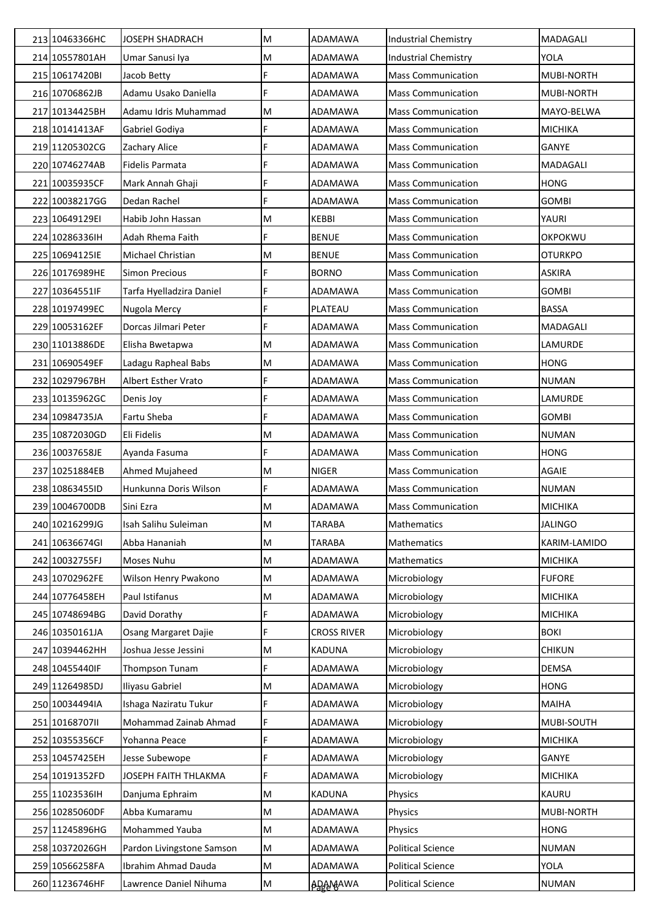| 213 10463366HC | JOSEPH SHADRACH           | M | ADAMAWA            | <b>Industrial Chemistry</b> | <b>MADAGALI</b>   |
|----------------|---------------------------|---|--------------------|-----------------------------|-------------------|
| 214 10557801AH | Umar Sanusi Iya           | M | ADAMAWA            | Industrial Chemistry        | <b>YOLA</b>       |
| 215 10617420BI | Jacob Betty               | F | ADAMAWA            | <b>Mass Communication</b>   | <b>MUBI-NORTH</b> |
| 216 10706862JB | Adamu Usako Daniella      | F | <b>ADAMAWA</b>     | <b>Mass Communication</b>   | <b>MUBI-NORTH</b> |
| 217 10134425BH | Adamu Idris Muhammad      | M | <b>ADAMAWA</b>     | <b>Mass Communication</b>   | MAYO-BELWA        |
| 218 10141413AF | Gabriel Godiya            | F | <b>ADAMAWA</b>     | <b>Mass Communication</b>   | <b>MICHIKA</b>    |
| 219 11205302CG | Zachary Alice             | F | ADAMAWA            | <b>Mass Communication</b>   | <b>GANYE</b>      |
| 220 10746274AB | <b>Fidelis Parmata</b>    | F | <b>ADAMAWA</b>     | <b>Mass Communication</b>   | <b>MADAGALI</b>   |
| 221 10035935CF | Mark Annah Ghaji          | F | <b>ADAMAWA</b>     | <b>Mass Communication</b>   | <b>HONG</b>       |
| 222 10038217GG | Dedan Rachel              | F | <b>ADAMAWA</b>     | <b>Mass Communication</b>   | <b>GOMBI</b>      |
| 223 10649129EI | Habib John Hassan         | M | <b>KEBBI</b>       | <b>Mass Communication</b>   | YAURI             |
| 224 10286336IH | Adah Rhema Faith          | F | <b>BENUE</b>       | <b>Mass Communication</b>   | <b>OKPOKWU</b>    |
| 225 10694125IE | Michael Christian         | M | <b>BENUE</b>       | <b>Mass Communication</b>   | <b>OTURKPO</b>    |
| 226 10176989HE | <b>Simon Precious</b>     | F | <b>BORNO</b>       | <b>Mass Communication</b>   | <b>ASKIRA</b>     |
| 227 10364551IF | Tarfa Hyelladzira Daniel  | F | <b>ADAMAWA</b>     | <b>Mass Communication</b>   | <b>GOMBI</b>      |
| 228 10197499EC | Nugola Mercy              | F | PLATEAU            | <b>Mass Communication</b>   | <b>BASSA</b>      |
| 229 10053162EF | Dorcas Jilmari Peter      | F | <b>ADAMAWA</b>     | <b>Mass Communication</b>   | <b>MADAGALI</b>   |
| 230 11013886DE | Elisha Bwetapwa           | M | ADAMAWA            | <b>Mass Communication</b>   | LAMURDE           |
| 231 10690549EF | Ladagu Rapheal Babs       | M | ADAMAWA            | <b>Mass Communication</b>   | <b>HONG</b>       |
| 232 10297967BH | Albert Esther Vrato       | F | <b>ADAMAWA</b>     | <b>Mass Communication</b>   | <b>NUMAN</b>      |
| 233 10135962GC | Denis Joy                 | F | <b>ADAMAWA</b>     | <b>Mass Communication</b>   | LAMURDE           |
| 234 10984735JA | Fartu Sheba               | F | ADAMAWA            | <b>Mass Communication</b>   | <b>GOMBI</b>      |
| 235 10872030GD | Eli Fidelis               | M | ADAMAWA            | <b>Mass Communication</b>   | <b>NUMAN</b>      |
| 236 10037658JE | Ayanda Fasuma             | F | ADAMAWA            | <b>Mass Communication</b>   | <b>HONG</b>       |
| 237 10251884EB | Ahmed Mujaheed            | M | <b>NIGER</b>       | <b>Mass Communication</b>   | <b>AGAIE</b>      |
| 238 10863455ID | Hunkunna Doris Wilson     | F | <b>ADAMAWA</b>     | <b>Mass Communication</b>   | <b>NUMAN</b>      |
| 239 10046700DB | Sini Ezra                 | M | <b>ADAMAWA</b>     | <b>Mass Communication</b>   | <b>MICHIKA</b>    |
| 240 10216299JG | Isah Salihu Suleiman      | M | <b>TARABA</b>      | Mathematics                 | <b>JALINGO</b>    |
| 241 10636674GI | Abba Hananiah             | M | <b>TARABA</b>      | Mathematics                 | KARIM-LAMIDO      |
| 242 10032755FJ | Moses Nuhu                | M | ADAMAWA            | Mathematics                 | <b>MICHIKA</b>    |
| 243 10702962FE | Wilson Henry Pwakono      | M | <b>ADAMAWA</b>     | Microbiology                | <b>FUFORE</b>     |
| 244 10776458EH | Paul Istifanus            | M | ADAMAWA            | Microbiology                | <b>MICHIKA</b>    |
| 245 10748694BG | David Dorathy             | F | ADAMAWA            | Microbiology                | <b>MICHIKA</b>    |
| 246 10350161JA | Osang Margaret Dajie      | F | <b>CROSS RIVER</b> | Microbiology                | <b>BOKI</b>       |
| 247 10394462HH | Joshua Jesse Jessini      | M | KADUNA             | Microbiology                | <b>CHIKUN</b>     |
| 248 10455440IF | Thompson Tunam            | F | ADAMAWA            | Microbiology                | <b>DEMSA</b>      |
| 249 11264985DJ | Iliyasu Gabriel           | M | ADAMAWA            | Microbiology                | <b>HONG</b>       |
| 250 10034494IA | Ishaga Naziratu Tukur     | F | ADAMAWA            | Microbiology                | <b>MAIHA</b>      |
| 251 101687071  | Mohammad Zainab Ahmad     | F | ADAMAWA            | Microbiology                | MUBI-SOUTH        |
| 252 10355356CF | Yohanna Peace             | F | <b>ADAMAWA</b>     | Microbiology                | <b>MICHIKA</b>    |
| 253 10457425EH | Jesse Subewope            | F | ADAMAWA            | Microbiology                | GANYE             |
| 254 10191352FD | JOSEPH FAITH THLAKMA      | F | ADAMAWA            | Microbiology                | <b>MICHIKA</b>    |
| 255 11023536IH | Danjuma Ephraim           | M | KADUNA             | <b>Physics</b>              | KAURU             |
| 256 10285060DF | Abba Kumaramu             | M | <b>ADAMAWA</b>     | <b>Physics</b>              | <b>MUBI-NORTH</b> |
| 257 11245896HG | Mohammed Yauba            | M | ADAMAWA            | <b>Physics</b>              | <b>HONG</b>       |
| 258 10372026GH | Pardon Livingstone Samson | M | ADAMAWA            | <b>Political Science</b>    | <b>NUMAN</b>      |
| 259 10566258FA | Ibrahim Ahmad Dauda       | M | ADAMAWA            | <b>Political Science</b>    | <b>YOLA</b>       |
| 260 11236746HF | Lawrence Daniel Nihuma    | M | ARAMAWA            | <b>Political Science</b>    | <b>NUMAN</b>      |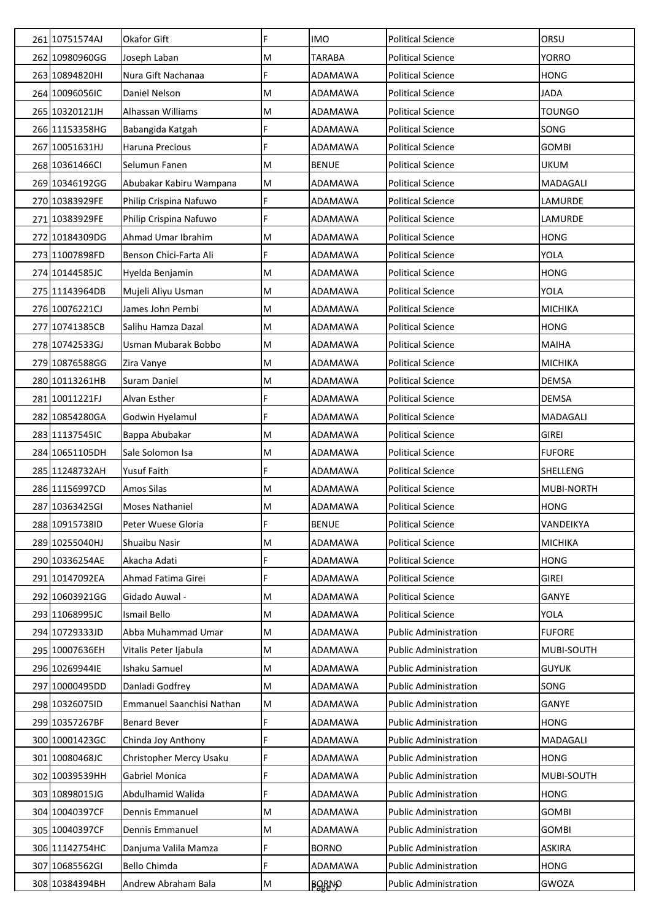| 261 10751574AJ | Okafor Gift               | F | <b>IMO</b>     | <b>Political Science</b>     | ORSU              |
|----------------|---------------------------|---|----------------|------------------------------|-------------------|
| 262 10980960GG | Joseph Laban              | M | <b>TARABA</b>  | <b>Political Science</b>     | <b>YORRO</b>      |
| 263 10894820HI | Nura Gift Nachanaa        | F | ADAMAWA        | <b>Political Science</b>     | <b>HONG</b>       |
| 264 10096056IC | Daniel Nelson             | M | ADAMAWA        | <b>Political Science</b>     | <b>JADA</b>       |
| 265 10320121JH | Alhassan Williams         | M | ADAMAWA        | <b>Political Science</b>     | <b>TOUNGO</b>     |
| 266 11153358HG | Babangida Katgah          | F | ADAMAWA        | <b>Political Science</b>     | SONG              |
| 267 10051631HJ | Haruna Precious           | F | ADAMAWA        | <b>Political Science</b>     | <b>GOMBI</b>      |
| 268 10361466Cl | Selumun Fanen             | M | <b>BENUE</b>   | <b>Political Science</b>     | <b>UKUM</b>       |
| 269 10346192GG | Abubakar Kabiru Wampana   | M | <b>ADAMAWA</b> | <b>Political Science</b>     | <b>MADAGALI</b>   |
| 270 10383929FE | Philip Crispina Nafuwo    | F | ADAMAWA        | <b>Political Science</b>     | LAMURDE           |
| 271 10383929FE | Philip Crispina Nafuwo    | F | ADAMAWA        | <b>Political Science</b>     | LAMURDE           |
| 272 10184309DG | Ahmad Umar Ibrahim        | M | ADAMAWA        | <b>Political Science</b>     | <b>HONG</b>       |
| 273 11007898FD | Benson Chici-Farta Ali    | F | ADAMAWA        | <b>Political Science</b>     | <b>YOLA</b>       |
| 274 10144585JC | Hyelda Benjamin           | M | <b>ADAMAWA</b> | <b>Political Science</b>     | <b>HONG</b>       |
| 275 11143964DB | Mujeli Aliyu Usman        | M | <b>ADAMAWA</b> | <b>Political Science</b>     | <b>YOLA</b>       |
| 276 10076221CJ | James John Pembi          | M | ADAMAWA        | <b>Political Science</b>     | <b>MICHIKA</b>    |
| 277 10741385CB | Salihu Hamza Dazal        | M | ADAMAWA        | <b>Political Science</b>     | <b>HONG</b>       |
| 278 10742533GJ | Usman Mubarak Bobbo       | M | ADAMAWA        | <b>Political Science</b>     | <b>MAIHA</b>      |
| 279 10876588GG | Zira Vanye                | M | ADAMAWA        | <b>Political Science</b>     | <b>MICHIKA</b>    |
| 280 10113261HB | Suram Daniel              | M | ADAMAWA        | <b>Political Science</b>     | <b>DEMSA</b>      |
| 281 10011221FJ | Alvan Esther              | F | ADAMAWA        | <b>Political Science</b>     | <b>DEMSA</b>      |
| 282 10854280GA | Godwin Hyelamul           | F | ADAMAWA        | <b>Political Science</b>     | <b>MADAGALI</b>   |
| 283 11137545IC | Bappa Abubakar            | M | ADAMAWA        | <b>Political Science</b>     | <b>GIREI</b>      |
| 284 10651105DH | Sale Solomon Isa          | M | ADAMAWA        | <b>Political Science</b>     | <b>FUFORE</b>     |
| 285 11248732AH | Yusuf Faith               | F | ADAMAWA        | <b>Political Science</b>     | <b>SHELLENG</b>   |
| 286 11156997CD | Amos Silas                | M | ADAMAWA        | <b>Political Science</b>     | <b>MUBI-NORTH</b> |
| 287 10363425GI | <b>Moses Nathaniel</b>    | M | ADAMAWA        | <b>Political Science</b>     | <b>HONG</b>       |
| 288 10915738ID | Peter Wuese Gloria        | F | <b>BENUE</b>   | <b>Political Science</b>     | VANDEIKYA         |
| 289 10255040HJ | Shuaibu Nasir             | M | ADAMAWA        | <b>Political Science</b>     | <b>MICHIKA</b>    |
| 290 10336254AE | Akacha Adati              | F | ADAMAWA        | <b>Political Science</b>     | <b>HONG</b>       |
| 291 10147092EA | Ahmad Fatima Girei        | F | ADAMAWA        | <b>Political Science</b>     | <b>GIREI</b>      |
| 292 10603921GG | Gidado Auwal -            | M | ADAMAWA        | <b>Political Science</b>     | <b>GANYE</b>      |
| 293 11068995JC | Ismail Bello              | M | ADAMAWA        | <b>Political Science</b>     | YOLA              |
| 294 10729333JD | Abba Muhammad Umar        | M | ADAMAWA        | <b>Public Administration</b> | <b>FUFORE</b>     |
| 295 10007636EH | Vitalis Peter Ijabula     | M | ADAMAWA        | <b>Public Administration</b> | MUBI-SOUTH        |
| 296 10269944IE | Ishaku Samuel             | M | ADAMAWA        | <b>Public Administration</b> | <b>GUYUK</b>      |
| 297 10000495DD | Danladi Godfrey           | M | ADAMAWA        | <b>Public Administration</b> | SONG              |
| 298 10326075ID | Emmanuel Saanchisi Nathan | M | ADAMAWA        | <b>Public Administration</b> | GANYE             |
| 299 10357267BF | <b>Benard Bever</b>       | F | ADAMAWA        | <b>Public Administration</b> | <b>HONG</b>       |
| 300 10001423GC | Chinda Joy Anthony        | F | ADAMAWA        | <b>Public Administration</b> | <b>MADAGALI</b>   |
| 301 10080468JC | Christopher Mercy Usaku   | F | ADAMAWA        | <b>Public Administration</b> | <b>HONG</b>       |
| 302 10039539HH | Gabriel Monica            | F | ADAMAWA        | <b>Public Administration</b> | MUBI-SOUTH        |
| 303 10898015JG | Abdulhamid Walida         | F | ADAMAWA        | <b>Public Administration</b> | <b>HONG</b>       |
| 304 10040397CF | Dennis Emmanuel           | M | ADAMAWA        | <b>Public Administration</b> | <b>GOMBI</b>      |
| 305 10040397CF | Dennis Emmanuel           | M | ADAMAWA        | <b>Public Administration</b> | GOMBI             |
| 306 11142754HC | Danjuma Valila Mamza      | F | <b>BORNO</b>   | <b>Public Administration</b> | <b>ASKIRA</b>     |
| 307 10685562GI | <b>Bello Chimda</b>       | F | ADAMAWA        | <b>Public Administration</b> | <b>HONG</b>       |
| 308 10384394BH | Andrew Abraham Bala       | M | <b>BOBANO</b>  | <b>Public Administration</b> | <b>GWOZA</b>      |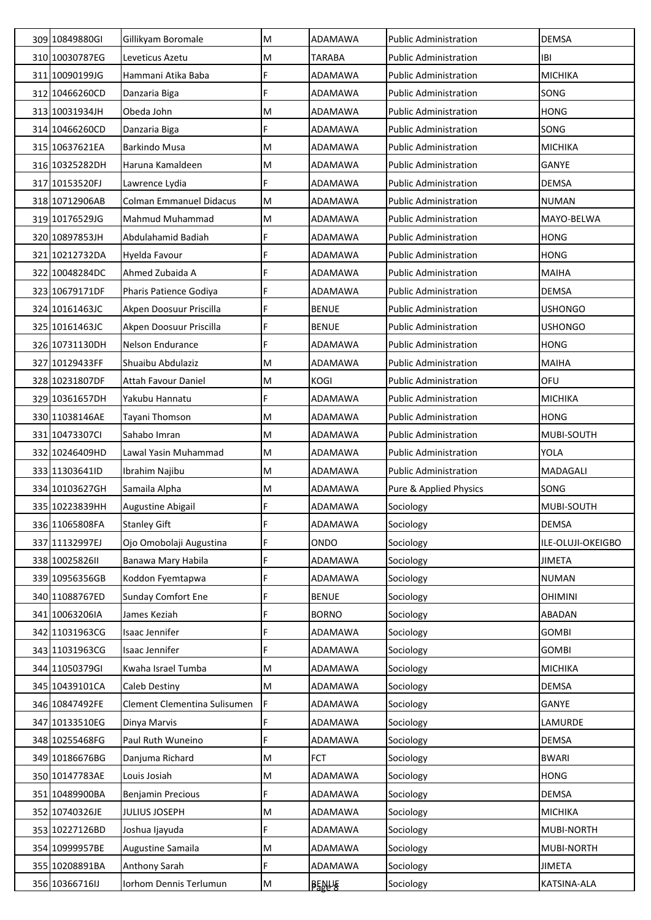| 309 10849880GI | Gillikyam Boromale             | M  | ADAMAWA        | <b>Public Administration</b> | <b>DEMSA</b>      |
|----------------|--------------------------------|----|----------------|------------------------------|-------------------|
| 310 10030787EG | Leveticus Azetu                | M  | <b>TARABA</b>  | <b>Public Administration</b> | IBI               |
| 311 10090199JG | Hammani Atika Baba             | F  | ADAMAWA        | <b>Public Administration</b> | <b>MICHIKA</b>    |
| 312 10466260CD | Danzaria Biga                  | F  | ADAMAWA        | <b>Public Administration</b> | SONG              |
| 313 10031934JH | Obeda John                     | M  | ADAMAWA        | <b>Public Administration</b> | <b>HONG</b>       |
| 314 10466260CD | Danzaria Biga                  | F  | ADAMAWA        | <b>Public Administration</b> | SONG              |
| 315 10637621EA | <b>Barkindo Musa</b>           | M  | <b>ADAMAWA</b> | <b>Public Administration</b> | <b>MICHIKA</b>    |
| 316 10325282DH | Haruna Kamaldeen               | M  | ADAMAWA        | <b>Public Administration</b> | <b>GANYE</b>      |
| 317 10153520FJ | Lawrence Lydia                 | F  | <b>ADAMAWA</b> | <b>Public Administration</b> | <b>DEMSA</b>      |
| 318 10712906AB | <b>Colman Emmanuel Didacus</b> | M  | ADAMAWA        | <b>Public Administration</b> | NUMAN             |
| 319 10176529JG | Mahmud Muhammad                | M  | ADAMAWA        | <b>Public Administration</b> | MAYO-BELWA        |
| 320 10897853JH | Abdulahamid Badiah             | F  | ADAMAWA        | <b>Public Administration</b> | <b>HONG</b>       |
| 321 10212732DA | Hyelda Favour                  | F  | ADAMAWA        | <b>Public Administration</b> | <b>HONG</b>       |
| 322 10048284DC | Ahmed Zubaida A                | F  | ADAMAWA        | <b>Public Administration</b> | MAIHA             |
| 323 10679171DF | Pharis Patience Godiya         | F  | <b>ADAMAWA</b> | <b>Public Administration</b> | <b>DEMSA</b>      |
| 324 10161463JC | Akpen Doosuur Priscilla        | F  | <b>BENUE</b>   | <b>Public Administration</b> | <b>USHONGO</b>    |
| 325 10161463JC | Akpen Doosuur Priscilla        | F  | <b>BENUE</b>   | <b>Public Administration</b> | <b>USHONGO</b>    |
| 326 10731130DH | Nelson Endurance               | F  | ADAMAWA        | <b>Public Administration</b> | HONG              |
| 327 10129433FF | Shuaibu Abdulaziz              | M  | ADAMAWA        | <b>Public Administration</b> | <b>MAIHA</b>      |
| 328 10231807DF | Attah Favour Daniel            | M  | <b>KOGI</b>    | <b>Public Administration</b> | OFU               |
| 329 10361657DH | Yakubu Hannatu                 | F  | ADAMAWA        | <b>Public Administration</b> | <b>MICHIKA</b>    |
| 330 11038146AE | Tayani Thomson                 | M  | ADAMAWA        | <b>Public Administration</b> | HONG              |
| 331 10473307Cl | Sahabo Imran                   | M  | ADAMAWA        | <b>Public Administration</b> | MUBI-SOUTH        |
| 332 10246409HD | Lawal Yasin Muhammad           | M  | ADAMAWA        | <b>Public Administration</b> | <b>YOLA</b>       |
| 333 11303641ID | Ibrahim Najibu                 | M  | ADAMAWA        | <b>Public Administration</b> | MADAGALI          |
| 334 10103627GH | Samaila Alpha                  | M  | ADAMAWA        | Pure & Applied Physics       | SONG              |
| 335 10223839HH | Augustine Abigail              | F  | ADAMAWA        | Sociology                    | MUBI-SOUTH        |
| 336 11065808FA | <b>Stanley Gift</b>            | F  | ADAMAWA        | Sociology                    | <b>DEMSA</b>      |
| 337 11132997EJ | Ojo Omobolaji Augustina        | F  | ONDO           | Sociology                    | ILE-OLUJI-OKEIGBO |
| 338 10025826II | Banawa Mary Habila             | F  | ADAMAWA        | Sociology                    | <b>JIMETA</b>     |
| 339 10956356GB | Koddon Fyemtapwa               | F  | ADAMAWA        | Sociology                    | <b>NUMAN</b>      |
| 340 11088767ED | <b>Sunday Comfort Ene</b>      | F  | <b>BENUE</b>   | Sociology                    | <b>OHIMINI</b>    |
| 341 10063206IA | James Keziah                   | F  | <b>BORNO</b>   | Sociology                    | ABADAN            |
| 342 11031963CG | Isaac Jennifer                 | F  | ADAMAWA        | Sociology                    | <b>GOMBI</b>      |
| 343 11031963CG | Isaac Jennifer                 | F  | ADAMAWA        | Sociology                    | <b>GOMBI</b>      |
| 344 11050379GI | Kwaha Israel Tumba             | M  | ADAMAWA        | Sociology                    | <b>MICHIKA</b>    |
| 345 10439101CA | Caleb Destiny                  | M  | ADAMAWA        | Sociology                    | <b>DEMSA</b>      |
| 346 10847492FE | Clement Clementina Sulisumen   | F. | ADAMAWA        | Sociology                    | GANYE             |
| 347 10133510EG | Dinya Marvis                   | F  | ADAMAWA        | Sociology                    | LAMURDE           |
| 348 10255468FG | Paul Ruth Wuneino              | F  | ADAMAWA        | Sociology                    | DEMSA             |
| 349 10186676BG | Danjuma Richard                | M  | FCT            | Sociology                    | <b>BWARI</b>      |
| 350 10147783AE | Louis Josiah                   | M  | ADAMAWA        | Sociology                    | <b>HONG</b>       |
| 351 10489900BA | Benjamin Precious              | F. | ADAMAWA        | Sociology                    | DEMSA             |
| 352 10740326JE | <b>JULIUS JOSEPH</b>           | M  | ADAMAWA        | Sociology                    | <b>MICHIKA</b>    |
| 353 10227126BD | Joshua Ijayuda                 | F  | ADAMAWA        | Sociology                    | MUBI-NORTH        |
| 354 10999957BE | Augustine Samaila              | M  | ADAMAWA        | Sociology                    | MUBI-NORTH        |
| 355 10208891BA | Anthony Sarah                  | F. | ADAMAWA        | Sociology                    | <b>JIMETA</b>     |
| 356 10366716IJ | Iorhom Dennis Terlumun         | M  | BESHA          | Sociology                    | KATSINA-ALA       |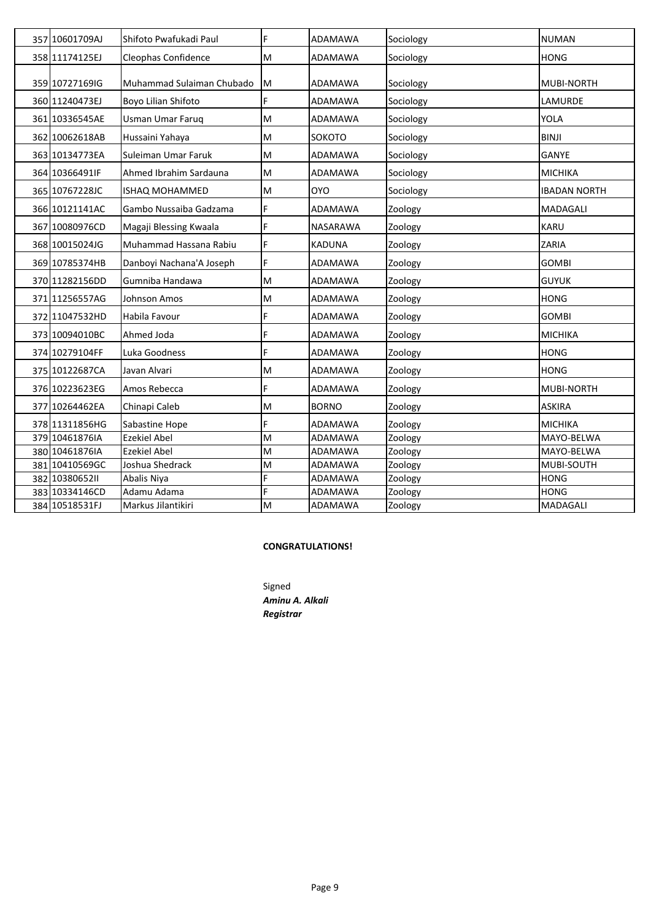| 357 10601709AJ | Shifoto Pwafukadi Paul    | F | <b>ADAMAWA</b> | Sociology | <b>NUMAN</b>        |
|----------------|---------------------------|---|----------------|-----------|---------------------|
| 358 11174125EJ | Cleophas Confidence       | M | ADAMAWA        | Sociology | <b>HONG</b>         |
| 359 10727169IG | Muhammad Sulaiman Chubado | M | ADAMAWA        | Sociology | <b>MUBI-NORTH</b>   |
| 360 11240473EJ | Boyo Lilian Shifoto       | F | ADAMAWA        | Sociology | LAMURDE             |
| 361 10336545AE | Usman Umar Farug          | M | ADAMAWA        | Sociology | <b>YOLA</b>         |
| 362 10062618AB | Hussaini Yahaya           | M | SOKOTO         | Sociology | <b>BINJI</b>        |
| 363 10134773EA | Suleiman Umar Faruk       | M | ADAMAWA        | Sociology | <b>GANYE</b>        |
| 364 10366491IF | Ahmed Ibrahim Sardauna    | M | <b>ADAMAWA</b> | Sociology | <b>MICHIKA</b>      |
| 365 10767228JC | <b>ISHAQ MOHAMMED</b>     | M | <b>OYO</b>     | Sociology | <b>IBADAN NORTH</b> |
| 366 10121141AC | Gambo Nussaiba Gadzama    | F | ADAMAWA        | Zoology   | <b>MADAGALI</b>     |
| 367 10080976CD | Magaji Blessing Kwaala    | F | NASARAWA       | Zoology   | <b>KARU</b>         |
| 368 10015024JG | Muhammad Hassana Rabiu    | F | <b>KADUNA</b>  | Zoology   | ZARIA               |
| 369 10785374HB | Danboyi Nachana'A Joseph  | F | ADAMAWA        | Zoology   | <b>GOMBI</b>        |
| 370 11282156DD | Gumniba Handawa           | M | ADAMAWA        | Zoology   | <b>GUYUK</b>        |
| 371 11256557AG | Johnson Amos              | M | <b>ADAMAWA</b> | Zoology   | <b>HONG</b>         |
| 372 11047532HD | Habila Favour             | F | ADAMAWA        | Zoology   | <b>GOMBI</b>        |
| 373 10094010BC | Ahmed Joda                | F | <b>ADAMAWA</b> | Zoology   | <b>MICHIKA</b>      |
| 374 10279104FF | Luka Goodness             | F | ADAMAWA        | Zoology   | <b>HONG</b>         |
| 375 10122687CA | Javan Alvari              | M | ADAMAWA        | Zoology   | <b>HONG</b>         |
| 376 10223623EG | Amos Rebecca              | F | <b>ADAMAWA</b> | Zoology   | MUBI-NORTH          |
| 377 10264462EA | Chinapi Caleb             | M | <b>BORNO</b>   | Zoology   | <b>ASKIRA</b>       |
| 378 11311856HG | Sabastine Hope            | F | ADAMAWA        | Zoology   | <b>MICHIKA</b>      |
| 379 10461876IA | <b>Ezekiel Abel</b>       | M | ADAMAWA        | Zoology   | MAYO-BELWA          |
| 380 10461876IA | <b>Ezekiel Abel</b>       | M | ADAMAWA        | Zoology   | MAYO-BELWA          |
| 381 10410569GC | Joshua Shedrack           | M | ADAMAWA        | Zoology   | MUBI-SOUTH          |
| 382 1038065211 | Abalis Niya               | F | ADAMAWA        | Zoology   | <b>HONG</b>         |
| 383 10334146CD | Adamu Adama               | F | ADAMAWA        | Zoology   | <b>HONG</b>         |
| 384 10518531FJ | Markus Jilantikiri        | M | ADAMAWA        | Zoology   | <b>MADAGALI</b>     |

#### **CONGRATULATIONS!**

Signed *Aminu A. Alkali Registrar*